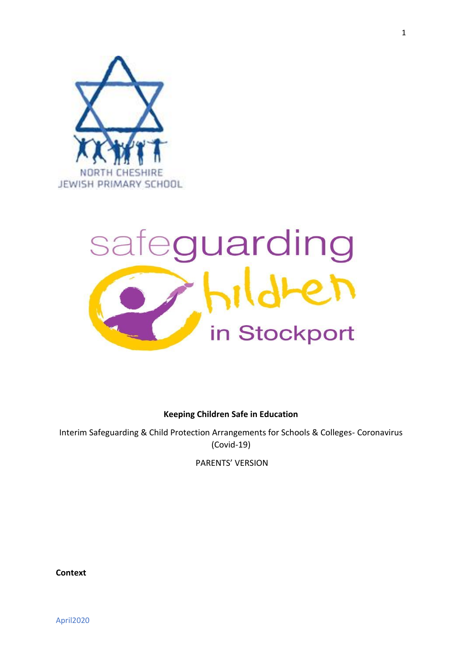

# safeguarding in Stockport

**Keeping Children Safe in Education**

Interim Safeguarding & Child Protection Arrangements for Schools & Colleges- Coronavirus (Covid-19)

PARENTS' VERSION

**Context**

April2020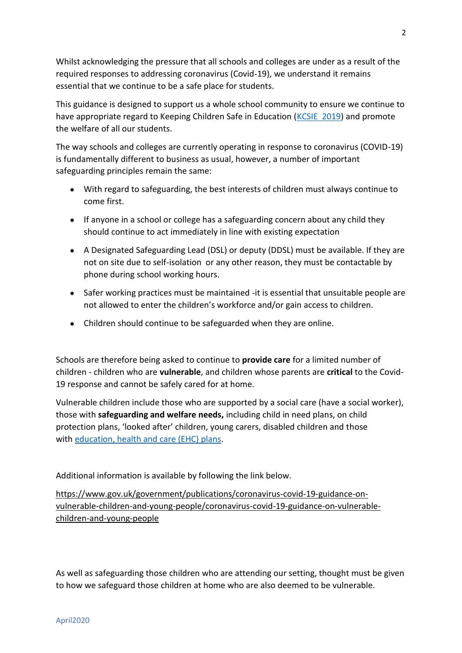Whilst acknowledging the pressure that all schools and colleges are under as a result of the required responses to addressing coronavirus (Covid-19), we understand it remains essential that we continue to be a safe place for students.

This guidance is designed to support us a whole school community to ensure we continue to have appropriate regard to Keeping Children Safe in Education [\(KCSIE 2019\)](https://www.gov.uk/government/publications/covid-19-safeguarding-in-schools-colleges-and-other-providers/coronavirus-covid-19-safeguarding-in-schools-colleges-and-other-providers) and promote the welfare of all our students.

The way schools and colleges are currently operating in response to coronavirus (COVID-19) is fundamentally different to business as usual, however, a number of important safeguarding principles remain the same:

- With regard to safeguarding, the best interests of children must always continue to come first.
- If anyone in a school or college has a safeguarding concern about any child they should continue to act immediately in line with existing expectation
- A Designated Safeguarding Lead (DSL) or deputy (DDSL) must be available. If they are not on site due to self-isolation or any other reason, they must be contactable by phone during school working hours.
- Safer working practices must be maintained -it is essential that unsuitable people are not allowed to enter the children's workforce and/or gain access to children.
- Children should continue to be safeguarded when they are online.

Schools are therefore being asked to continue to **provide care** for a limited number of children - children who are **vulnerable**, and children whose parents are **critical** to the Covid-19 response and cannot be safely cared for at home.

Vulnerable children include those who are supported by a social care (have a social worker), those with **safeguarding and welfare needs,** including child in need plans, on child protection plans, 'looked after' children, young carers, disabled children and those with [education, health and care \(EHC\) plans.](https://www.gov.uk/children-with-special-educational-needs/extra-SEN-help)

Additional information is available by following the link below.

[https://www.gov.uk/government/publications/coronavirus-covid-19-guidance-on](https://www.gov.uk/government/publications/coronavirus-covid-19-guidance-on-vulnerable-children-and-young-people/coronavirus-covid-19-guidance-on-vulnerable-children-and-young-people)[vulnerable-children-and-young-people/coronavirus-covid-19-guidance-on-vulnerable](https://www.gov.uk/government/publications/coronavirus-covid-19-guidance-on-vulnerable-children-and-young-people/coronavirus-covid-19-guidance-on-vulnerable-children-and-young-people)[children-and-young-people](https://www.gov.uk/government/publications/coronavirus-covid-19-guidance-on-vulnerable-children-and-young-people/coronavirus-covid-19-guidance-on-vulnerable-children-and-young-people)

As well as safeguarding those children who are attending our setting, thought must be given to how we safeguard those children at home who are also deemed to be vulnerable.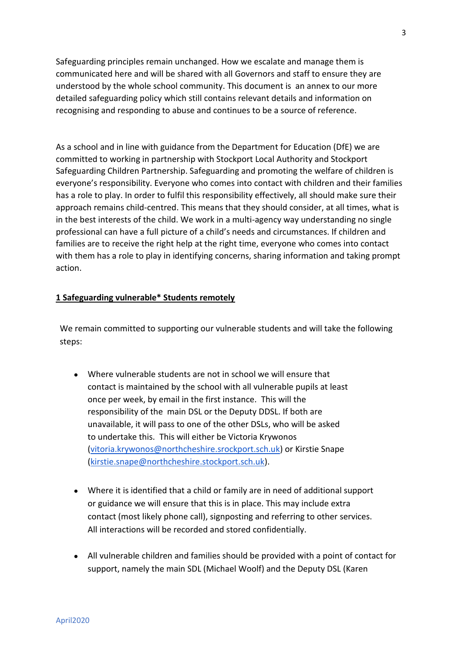Safeguarding principles remain unchanged. How we escalate and manage them is communicated here and will be shared with all Governors and staff to ensure they are understood by the whole school community. This document is an annex to our more detailed safeguarding policy which still contains relevant details and information on recognising and responding to abuse and continues to be a source of reference.

As a school and in line with guidance from the Department for Education (DfE) we are committed to working in partnership with Stockport Local Authority and Stockport Safeguarding Children Partnership. Safeguarding and promoting the welfare of children is everyone's responsibility. Everyone who comes into contact with children and their families has a role to play. In order to fulfil this responsibility effectively, all should make sure their approach remains child-centred. This means that they should consider, at all times, what is in the best interests of the child. We work in a multi-agency way understanding no single professional can have a full picture of a child's needs and circumstances. If children and families are to receive the right help at the right time, everyone who comes into contact with them has a role to play in identifying concerns, sharing information and taking prompt action.

# **1 Safeguarding vulnerable\* Students remotely**

We remain committed to supporting our vulnerable students and will take the following steps:

- Where vulnerable students are not in school we will ensure that contact is maintained by the school with all vulnerable pupils at least once per week, by email in the first instance. This will the responsibility of the main DSL or the Deputy DDSL. If both are unavailable, it will pass to one of the other DSLs, who will be asked to undertake this. This will either be Victoria Krywonos [\(vitoria.krywonos@northcheshire.srockport.sch.uk\)](mailto:vitoria.krywonos@northcheshire.srockport.sch.uk) or Kirstie Snape [\(kirstie.snape@northcheshire.stockport.sch.uk\)](mailto:kirstie.snape@northcheshire.stockport.sch.uk).
- Where it is identified that a child or family are in need of additional support or guidance we will ensure that this is in place. This may include extra contact (most likely phone call), signposting and referring to other services. All interactions will be recorded and stored confidentially.
- All vulnerable children and families should be provided with a point of contact for support, namely the main SDL (Michael Woolf) and the Deputy DSL (Karen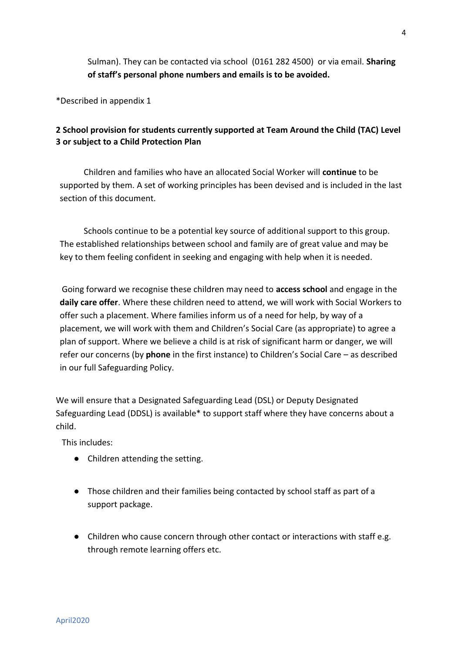Sulman). They can be contacted via school (0161 282 4500) or via email. **Sharing of staff's personal phone numbers and emails is to be avoided.** 

\*Described in appendix 1

# **2 School provision for students currently supported at Team Around the Child (TAC) Level 3 or subject to a Child Protection Plan**

Children and families who have an allocated Social Worker will **continue** to be supported by them. A set of working principles has been devised and is included in the last section of this document.

Schools continue to be a potential key source of additional support to this group. The established relationships between school and family are of great value and may be key to them feeling confident in seeking and engaging with help when it is needed.

Going forward we recognise these children may need to **access school** and engage in the **daily care offer**. Where these children need to attend, we will work with Social Workers to offer such a placement. Where families inform us of a need for help, by way of a placement, we will work with them and Children's Social Care (as appropriate) to agree a plan of support. Where we believe a child is at risk of significant harm or danger, we will refer our concerns (by **phone** in the first instance) to Children's Social Care – as described in our full Safeguarding Policy.

We will ensure that a Designated Safeguarding Lead (DSL) or Deputy Designated Safeguarding Lead (DDSL) is available\* to support staff where they have concerns about a child.

This includes:

- Children attending the setting.
- Those children and their families being contacted by school staff as part of a support package.
- Children who cause concern through other contact or interactions with staff e.g. through remote learning offers etc.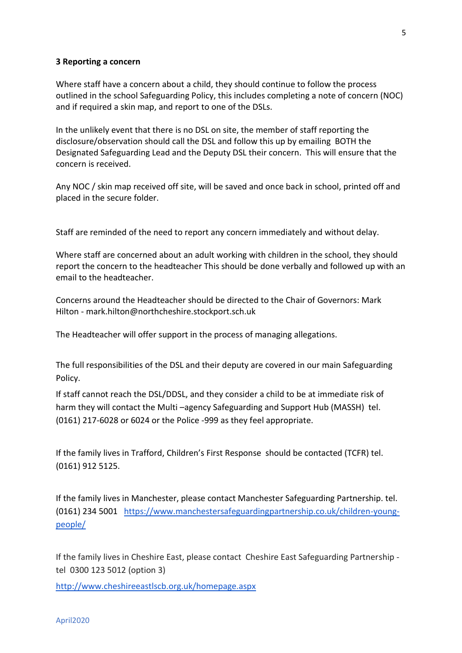### **3 Reporting a concern**

Where staff have a concern about a child, they should continue to follow the process outlined in the school Safeguarding Policy, this includes completing a note of concern (NOC) and if required a skin map, and report to one of the DSLs.

In the unlikely event that there is no DSL on site, the member of staff reporting the disclosure/observation should call the DSL and follow this up by emailing BOTH the Designated Safeguarding Lead and the Deputy DSL their concern. This will ensure that the concern is received.

Any NOC / skin map received off site, will be saved and once back in school, printed off and placed in the secure folder.

Staff are reminded of the need to report any concern immediately and without delay.

Where staff are concerned about an adult working with children in the school, they should report the concern to the headteacher This should be done verbally and followed up with an email to the headteacher.

Concerns around the Headteacher should be directed to the Chair of Governors: Mark Hilton - mark.hilton@northcheshire.stockport.sch.uk

The Headteacher will offer support in the process of managing allegations.

The full responsibilities of the DSL and their deputy are covered in our main Safeguarding Policy.

If staff cannot reach the DSL/DDSL, and they consider a child to be at immediate risk of harm they will contact the Multi –agency Safeguarding and Support Hub (MASSH) tel. (0161) 217-6028 or 6024 or the Police -999 as they feel appropriate.

If the family lives in Trafford, Children's First Response should be contacted (TCFR) tel. (0161) 912 5125.

If the family lives in Manchester, please contact Manchester Safeguarding Partnership. tel. (0161) 234 5001 [https://www.manchestersafeguardingpartnership.co.uk/children-young](https://www.manchestersafeguardingpartnership.co.uk/children-young-people/)[people/](https://www.manchestersafeguardingpartnership.co.uk/children-young-people/)

If the family lives in Cheshire East, please contact Cheshire East Safeguarding Partnership tel 0300 123 5012 (option 3)

<http://www.cheshireeastlscb.org.uk/homepage.aspx>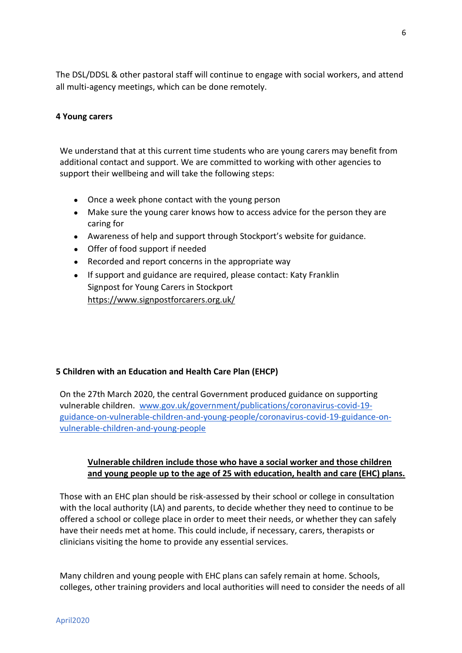The DSL/DDSL & other pastoral staff will continue to engage with social workers, and attend all multi-agency meetings, which can be done remotely.

# **4 Young carers**

We understand that at this current time students who are young carers may benefit from additional contact and support. We are committed to working with other agencies to support their wellbeing and will take the following steps:

- Once a week phone contact with the young person
- Make sure the young carer knows how to access advice for the person they are caring for
- Awareness of help and support through Stockport's website for guidance.
- Offer of food support if needed
- Recorded and report concerns in the appropriate way
- If support and guidance are required, please contact: Katy Franklin Signpost for Young Carers in Stockport <https://www.signpostforcarers.org.uk/>

# **5 Children with an Education and Health Care Plan (EHCP)**

On the 27th March 2020, the central Government produced guidance on supporting vulnerable children. [www.gov.uk/government/publications/coronavirus-covid-19](http://www.gov.uk/government/publications/coronavirus-covid-19-guidance-on-vulnerable-children-and-young-people/coronavirus-covid-19-guidance-on-vulnerable-children-and-young-people) [guidance-on-vulnerable-children-and-young-people/coronavirus-covid-19-guidance-on](http://www.gov.uk/government/publications/coronavirus-covid-19-guidance-on-vulnerable-children-and-young-people/coronavirus-covid-19-guidance-on-vulnerable-children-and-young-people)[vulnerable-children-and-young-people](http://www.gov.uk/government/publications/coronavirus-covid-19-guidance-on-vulnerable-children-and-young-people/coronavirus-covid-19-guidance-on-vulnerable-children-and-young-people)

# **Vulnerable children include those who have a social worker and those children and young people up to the age of 25 with education, health and care (EHC) plans.**

 Those with an EHC plan should be risk-assessed by their school or college in consultation with the local authority (LA) and parents, to decide whether they need to continue to be offered a school or college place in order to meet their needs, or whether they can safely have their needs met at home. This could include, if necessary, carers, therapists or clinicians visiting the home to provide any essential services.

Many children and young people with EHC plans can safely remain at home. Schools, colleges, other training providers and local authorities will need to consider the needs of all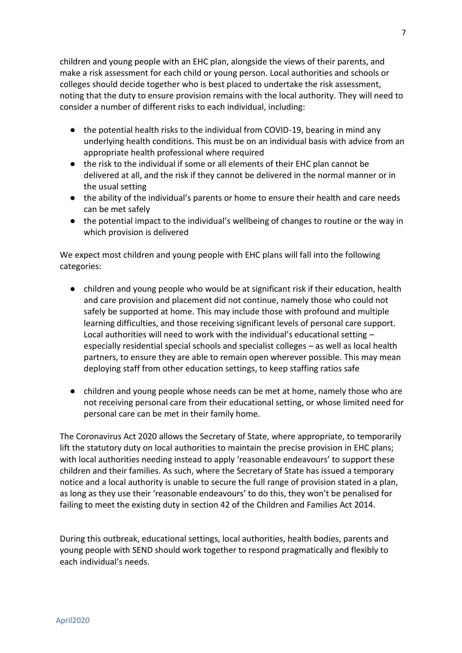children and young people with an EHC plan, alongside the views of their parents, and make a risk assessment for each child or young person. Local authorities and schools or colleges should decide together who is best placed to undertake the risk assessment, noting that the duty to ensure provision remains with the local authority. They will need to consider a number of different risks to each individual, including:

- the potential health risks to the individual from COVID-19, bearing in mind any underlying health conditions. This must be on an individual basis with advice from an appropriate health professional where required
- the risk to the individual if some or all elements of their EHC plan cannot be delivered at all, and the risk if they cannot be delivered in the normal manner or in the usual setting
- the ability of the individual's parents or home to ensure their health and care needs can be met safely
- the potential impact to the individual's wellbeing of changes to routine or the way in which provision is delivered

We expect most children and young people with EHC plans will fall into the following categories:

- children and young people who would be at significant risk if their education, health and care provision and placement did not continue, namely those who could not safely be supported at home. This may include those with profound and multiple learning difficulties, and those receiving significant levels of personal care support. Local authorities will need to work with the individual's educational setting – especially residential special schools and specialist colleges – as well as local health partners, to ensure they are able to remain open wherever possible. This may mean deploying staff from other education settings, to keep staffing ratios safe
- children and young people whose needs can be met at home, namely those who are not receiving personal care from their educational setting, or whose limited need for personal care can be met in their family home.

The Coronavirus Act 2020 allows the Secretary of State, where appropriate, to temporarily lift the statutory duty on local authorities to maintain the precise provision in EHC plans; with local authorities needing instead to apply 'reasonable endeavours' to support these children and their families. As such, where the Secretary of State has issued a temporary notice and a local authority is unable to secure the full range of provision stated in a plan, as long as they use their 'reasonable endeavours' to do this, they won't be penalised for failing to meet the existing duty in section 42 of the Children and Families Act 2014.

During this outbreak, educational settings, local authorities, health bodies, parents and young people with SEND should work together to respond pragmatically and flexibly to each individual's needs.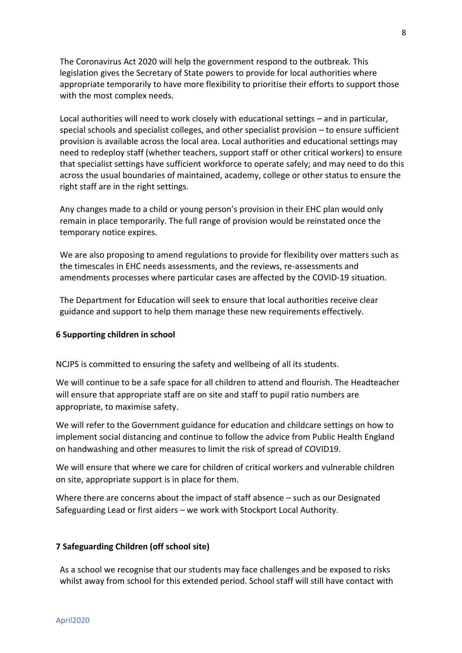The Coronavirus Act 2020 will help the government respond to the outbreak. This legislation gives the Secretary of State powers to provide for local authorities where appropriate temporarily to have more flexibility to prioritise their efforts to support those with the most complex needs.

Local authorities will need to work closely with educational settings – and in particular, special schools and specialist colleges, and other specialist provision – to ensure sufficient provision is available across the local area. Local authorities and educational settings may need to redeploy staff (whether teachers, support staff or other critical workers) to ensure that specialist settings have sufficient workforce to operate safely; and may need to do this across the usual boundaries of maintained, academy, college or other status to ensure the right staff are in the right settings.

Any changes made to a child or young person's provision in their EHC plan would only remain in place temporarily. The full range of provision would be reinstated once the temporary notice expires.

We are also proposing to amend regulations to provide for flexibility over matters such as the timescales in EHC needs assessments, and the reviews, re-assessments and amendments processes where particular cases are affected by the COVID-19 situation.

The Department for Education will seek to ensure that local authorities receive clear guidance and support to help them manage these new requirements effectively.

### **6 Supporting children in school**

NCJPS is committed to ensuring the safety and wellbeing of all its students.

We will continue to be a safe space for all children to attend and flourish. The Headteacher will ensure that appropriate staff are on site and staff to pupil ratio numbers are appropriate, to maximise safety.

We will refer to the Government guidance for education and childcare settings on how to implement social distancing and continue to follow the advice from Public Health England on handwashing and other measures to limit the risk of spread of COVID19.

We will ensure that where we care for children of critical workers and vulnerable children on site, appropriate support is in place for them.

Where there are concerns about the impact of staff absence – such as our Designated Safeguarding Lead or first aiders – we work with Stockport Local Authority.

### **7 Safeguarding Children (off school site)**

As a school we recognise that our students may face challenges and be exposed to risks whilst away from school for this extended period. School staff will still have contact with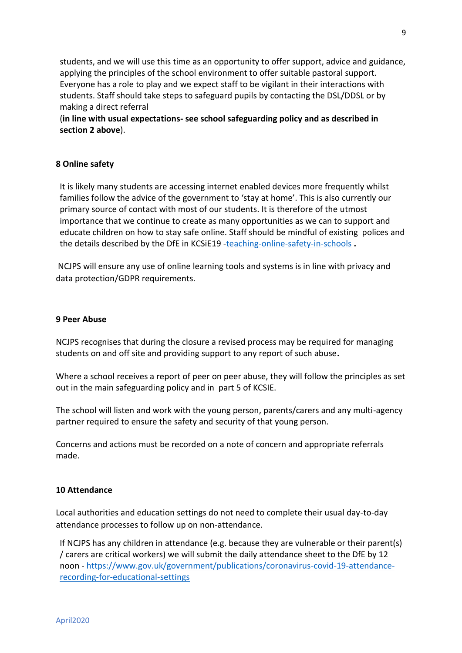students, and we will use this time as an opportunity to offer support, advice and guidance, applying the principles of the school environment to offer suitable pastoral support. Everyone has a role to play and we expect staff to be vigilant in their interactions with students. Staff should take steps to safeguard pupils by contacting the DSL/DDSL or by making a direct referral

 (**in line with usual expectations- see school safeguarding policy and as described in section 2 above**).

# **8 Online safety**

It is likely many students are accessing internet enabled devices more frequently whilst families follow the advice of the government to 'stay at home'. This is also currently our primary source of contact with most of our students. It is therefore of the utmost importance that we continue to create as many opportunities as we can to support and educate children on how to stay safe online. Staff should be mindful of existing polices and the details described by the DfE in KCSiE19 [-teaching-online-safety-in-schools](https://www.gov.uk/government/publications/teaching-online-safety-in-schools) **.**

NCJPS will ensure any use of online learning tools and systems is in line with privacy and data protection/GDPR requirements.

# **9 Peer Abuse**

NCJPS recognises that during the closure a revised process may be required for managing students on and off site and providing support to any report of such abuse**.** 

Where a school receives a report of peer on peer abuse, they will follow the principles as set out in the main safeguarding policy and in part 5 of KCSIE.

The school will listen and work with the young person, parents/carers and any multi-agency partner required to ensure the safety and security of that young person.

Concerns and actions must be recorded on a note of concern and appropriate referrals made.

# **10 Attendance**

Local authorities and education settings do not need to complete their usual day-to-day attendance processes to follow up on non-attendance.

If NCJPS has any children in attendance (e.g. because they are vulnerable or their parent(s) / carers are critical workers) we will submit the daily attendance sheet to the DfE by 12 noon - [https://www.gov.uk/government/publications/coronavirus-covid-19-attendance](https://www.gov.uk/government/publications/coronavirus-covid-19-attendance-recording-for-educational-settings)[recording-for-educational-settings](https://www.gov.uk/government/publications/coronavirus-covid-19-attendance-recording-for-educational-settings)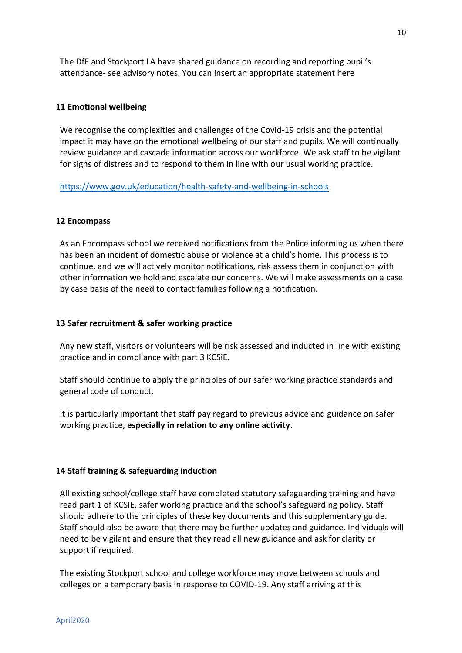The DfE and Stockport LA have shared guidance on recording and reporting pupil's attendance- see advisory notes. You can insert an appropriate statement here

### **11 Emotional wellbeing**

We recognise the complexities and challenges of the Covid-19 crisis and the potential impact it may have on the emotional wellbeing of our staff and pupils. We will continually review guidance and cascade information across our workforce. We ask staff to be vigilant for signs of distress and to respond to them in line with our usual working practice.

### <https://www.gov.uk/education/health-safety-and-wellbeing-in-schools>

### **12 Encompass**

As an Encompass school we received notifications from the Police informing us when there has been an incident of domestic abuse or violence at a child's home. This process is to continue, and we will actively monitor notifications, risk assess them in conjunction with other information we hold and escalate our concerns. We will make assessments on a case by case basis of the need to contact families following a notification.

### **13 Safer recruitment & safer working practice**

Any new staff, visitors or volunteers will be risk assessed and inducted in line with existing practice and in compliance with part 3 KCSiE.

Staff should continue to apply the principles of our safer working practice standards and general code of conduct.

It is particularly important that staff pay regard to previous advice and guidance on safer working practice, **especially in relation to any online activity**.

### **14 Staff training & safeguarding induction**

All existing school/college staff have completed statutory safeguarding training and have read part 1 of KCSIE, safer working practice and the school's safeguarding policy. Staff should adhere to the principles of these key documents and this supplementary guide. Staff should also be aware that there may be further updates and guidance. Individuals will need to be vigilant and ensure that they read all new guidance and ask for clarity or support if required.

The existing Stockport school and college workforce may move between schools and colleges on a temporary basis in response to COVID-19. Any staff arriving at this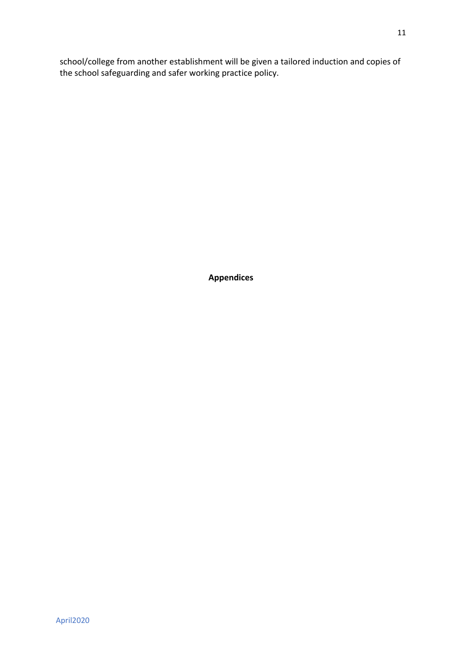school/college from another establishment will be given a tailored induction and copies of the school safeguarding and safer working practice policy.

**Appendices**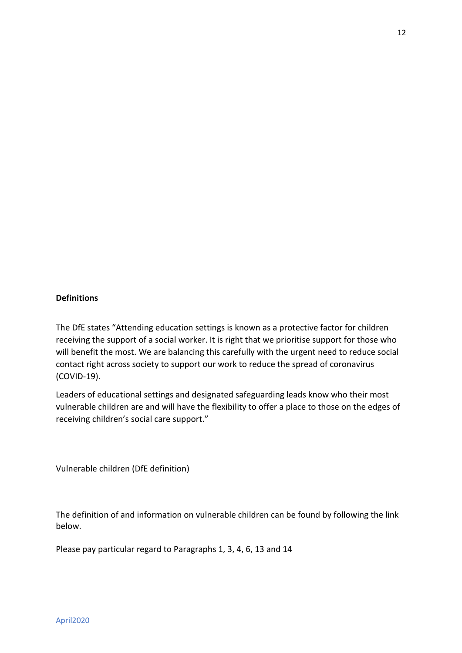# **Definitions**

The DfE states "Attending education settings is known as a protective factor for children receiving the support of a social worker. It is right that we prioritise support for those who will benefit the most. We are balancing this carefully with the urgent need to reduce social contact right across society to support our work to reduce the spread of coronavirus (COVID-19).

Leaders of educational settings and designated safeguarding leads know who their most vulnerable children are and will have the flexibility to offer a place to those on the edges of receiving children's social care support."

Vulnerable children (DfE definition)

The definition of and information on vulnerable children can be found by following the link below.

Please pay particular regard to Paragraphs 1, 3, 4, 6, 13 and 14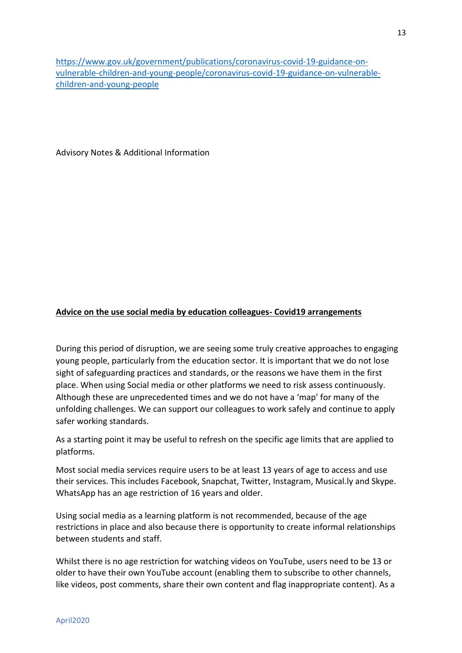[https://www.gov.uk/government/publications/coronavirus-covid-19-guidance-on](https://www.gov.uk/government/publications/coronavirus-covid-19-guidance-on-vulnerable-children-and-young-people/coronavirus-covid-19-guidance-on-vulnerable-children-and-young-people)[vulnerable-children-and-young-people/coronavirus-covid-19-guidance-on-vulnerable](https://www.gov.uk/government/publications/coronavirus-covid-19-guidance-on-vulnerable-children-and-young-people/coronavirus-covid-19-guidance-on-vulnerable-children-and-young-people)[children-and-young-people](https://www.gov.uk/government/publications/coronavirus-covid-19-guidance-on-vulnerable-children-and-young-people/coronavirus-covid-19-guidance-on-vulnerable-children-and-young-people)

Advisory Notes & Additional Information

### **Advice on the use social media by education colleagues- Covid19 arrangements**

During this period of disruption, we are seeing some truly creative approaches to engaging young people, particularly from the education sector. It is important that we do not lose sight of safeguarding practices and standards, or the reasons we have them in the first place. When using Social media or other platforms we need to risk assess continuously. Although these are unprecedented times and we do not have a 'map' for many of the unfolding challenges. We can support our colleagues to work safely and continue to apply safer working standards.

As a starting point it may be useful to refresh on the specific age limits that are applied to platforms.

Most social media services require users to be at least 13 years of age to access and use their services. This includes Facebook, Snapchat, Twitter, Instagram, Musical.ly and Skype. WhatsApp has an age restriction of 16 years and older.

Using social media as a learning platform is not recommended, because of the age restrictions in place and also because there is opportunity to create informal relationships between students and staff.

Whilst there is no age restriction for watching videos on YouTube, users need to be 13 or older to have their own YouTube account (enabling them to subscribe to other channels, like videos, post comments, share their own content and flag inappropriate content). As a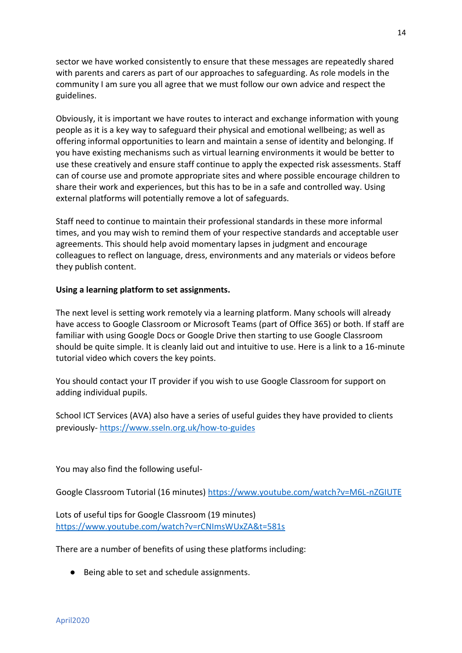sector we have worked consistently to ensure that these messages are repeatedly shared with parents and carers as part of our approaches to safeguarding. As role models in the community I am sure you all agree that we must follow our own advice and respect the guidelines.

Obviously, it is important we have routes to interact and exchange information with young people as it is a key way to safeguard their physical and emotional wellbeing; as well as offering informal opportunities to learn and maintain a sense of identity and belonging. If you have existing mechanisms such as virtual learning environments it would be better to use these creatively and ensure staff continue to apply the expected risk assessments. Staff can of course use and promote appropriate sites and where possible encourage children to share their work and experiences, but this has to be in a safe and controlled way. Using external platforms will potentially remove a lot of safeguards.

Staff need to continue to maintain their professional standards in these more informal times, and you may wish to remind them of your respective standards and acceptable user agreements. This should help avoid momentary lapses in judgment and encourage colleagues to reflect on language, dress, environments and any materials or videos before they publish content.

# **Using a learning platform to set assignments.**

The next level is setting work remotely via a learning platform. Many schools will already have access to Google Classroom or Microsoft Teams (part of Office 365) or both. If staff are familiar with using Google Docs or Google Drive then starting to use Google Classroom should be quite simple. It is cleanly laid out and intuitive to use. Here is a link to a 16-minute tutorial video which covers the key points.

You should contact your IT provider if you wish to use Google Classroom for support on adding individual pupils.

School ICT Services (AVA) also have a series of useful guides they have provided to clients previously- <https://www.sseln.org.uk/how-to-guides>

You may also find the following useful-

Google Classroom Tutorial (16 minutes) [https://www.youtube.com/watch?v=M6L-nZGIUTE](https://www.youtube.com/watch?v=M6L-nZGIUTE%20)

Lots of useful tips for Google Classroom (19 minutes) [https://www.youtube.com/watch?v=rCNImsWUxZA&t=581s](https://www.youtube.com/watch?v=rCNImsWUxZA&t=581s%20)

There are a number of benefits of using these platforms including:

● Being able to set and schedule assignments.